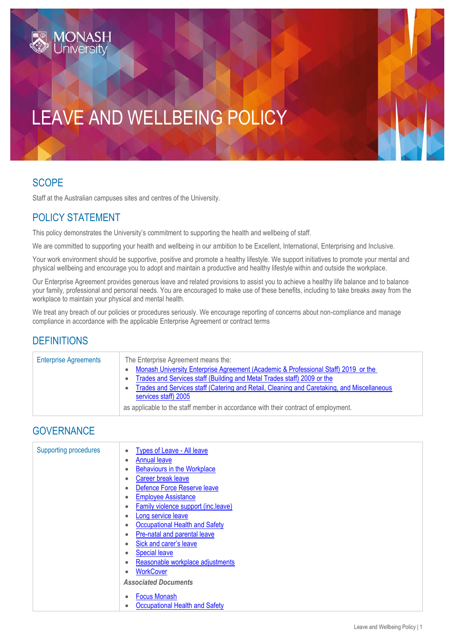# LEAVE AND WELLBEING POLICY

### SCOPE

Staff at the Australian campuses sites and centres of the University.

## POLICY STATEMENT

This policy demonstrates the University's commitment to supporting the health and wellbeing of staff.

We are committed to supporting your health and wellbeing in our ambition to be Excellent, International, Enterprising and Inclusive.

Your work environment should be supportive, positive and promote a healthy lifestyle. We support initiatives to promote your mental and physical wellbeing and encourage you to adopt and maintain a productive and healthy lifestyle within and outside the workplace.

Our Enterprise Agreement provides generous leave and related provisions to assist you to achieve a healthy life balance and to balance your family, professional and personal needs. You are encouraged to make use of these benefits, including to take breaks away from the workplace to maintain your physical and mental health.

We treat any breach of our policies or procedures seriously. We encourage reporting of concerns about non-compliance and manage compliance in accordance with the applicable Enterprise Agreement or contract terms

#### **DEFINITIONS**

| <b>Enterprise Agreements</b> | The Enterprise Agreement means the:<br>Monash University Enterprise Agreement (Academic & Professional Staff) 2019 or the<br>Trades and Services staff (Building and Metal Trades staff) 2009 or the<br>Trades and Services staff (Catering and Retail, Cleaning and Caretaking, and Miscellaneous<br>services staff) 2005<br>as applicable to the staff member in accordance with their contract of employment. |
|------------------------------|------------------------------------------------------------------------------------------------------------------------------------------------------------------------------------------------------------------------------------------------------------------------------------------------------------------------------------------------------------------------------------------------------------------|
|------------------------------|------------------------------------------------------------------------------------------------------------------------------------------------------------------------------------------------------------------------------------------------------------------------------------------------------------------------------------------------------------------------------------------------------------------|

#### **GOVERNANCE**

| <b>Supporting procedures</b> | Types of Leave - All leave                  |
|------------------------------|---------------------------------------------|
|                              | <b>Annual leave</b><br>$\bullet$            |
|                              | <b>Behaviours in the Workplace</b>          |
|                              | Career break leave                          |
|                              | Defence Force Reserve leave                 |
|                              | <b>Employee Assistance</b>                  |
|                              | <b>Family violence support (inc.leave)</b>  |
|                              | Long service leave<br>$\bullet$             |
|                              | Occupational Health and Safety<br>$\bullet$ |
|                              | Pre-natal and parental leave                |
|                              | Sick and carer's leave<br>$\bullet$         |
|                              | <b>Special leave</b><br>٠                   |
|                              | Reasonable workplace adjustments            |
|                              | <b>WorkCover</b>                            |
|                              | <b>Associated Documents</b>                 |
|                              | <b>Focus Monash</b>                         |
|                              | Occupational Health and Safety              |